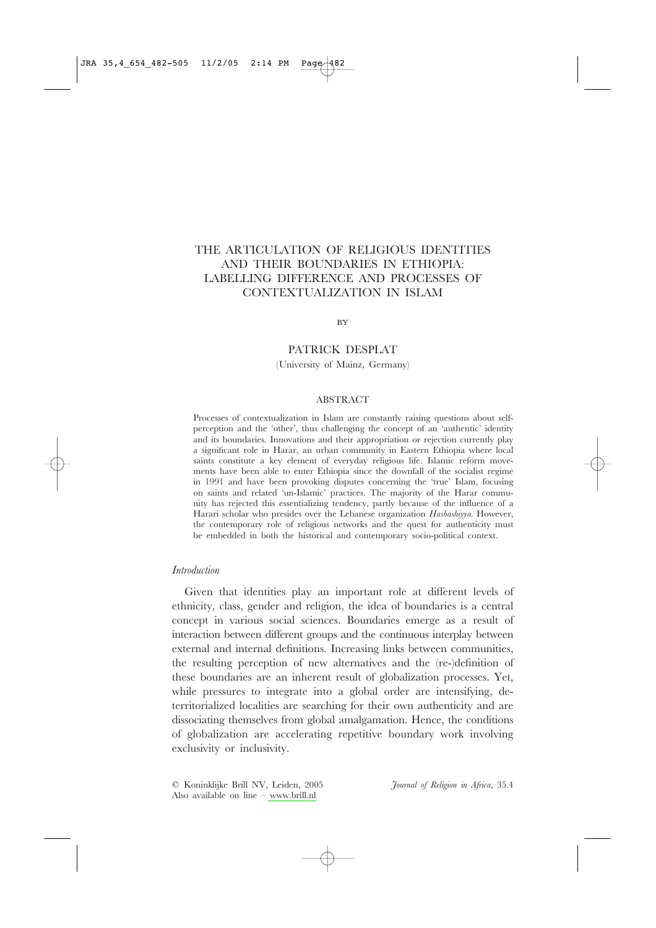# THE ARTICULATION OF RELIGIOUS IDENTITIES AND THEIR BOUNDARIES IN ETHIOPIA. LABELLING DIFFERENCE AND PROCESSES OF CONTEXTUALIZATION IN ISLAM

**RY** 

# PATRICK DESPLAT (University of Mainz, Germany)

#### **ARSTRACT**

Processes of contextualization in Islam are constantly raising questions about selfperception and the 'other', thus challenging the concept of an 'authentic' identity and its boundaries. Innovations and their appropriation or rejection currently play a significant role in Harar, an urban community in Eastern Ethiopia where local saints constitute a key element of everyday religious life. Islamic reform movements have been able to enter Ethiopia since the downfall of the socialist regime in 1991 and have been provoking disputes concerning the 'true' Islam, focusing on saints and related 'un-Islamic' practices. The majority of the Harar community has rejected this essentializing tendency, partly because of the influence of a Harari scholar who presides over the Lebanese organization Hasbashiyya. However, the contemporary role of religious networks and the quest for authenticity must be embedded in both the historical and contemporary socio-political context.

#### *Introduction*

Given that identities play an important role at different levels of ethnicity, class, gender and religion, the idea of boundaries is a central concept in various social sciences. Boundaries emerge as a result of interaction between different groups and the continuous interplay between external and internal definitions. Increasing links between communities, the resulting perception of new alternatives and the (re-)definition of these boundaries are an inherent result of globalization processes. Yet, while pressures to integrate into a global order are intensifying, deterritorialized localities are searching for their own authenticity and are dissociating themselves from global amalgamation. Hence, the conditions of globalization are accelerating repetitive boundary work involving exclusivity or inclusivity.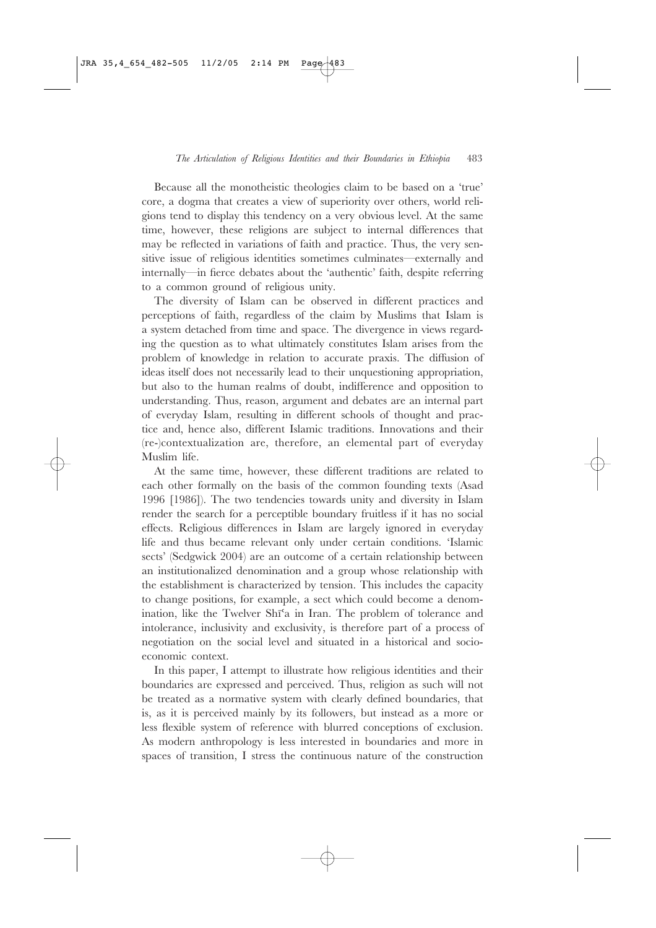Because all the monotheistic theologies claim to be based on a 'true' core, a dogma that creates a view of superiority over others, world religions tend to display this tendency on a very obvious level. At the same time, however, these religions are subject to internal differences that may be reflected in variations of faith and practice. Thus, the very sensitive issue of religious identities sometimes culminates—externally and internally—in fierce debates about the 'authentic' faith, despite referring to a common ground of religious unity.

The diversity of Islam can be observed in different practices and perceptions of faith, regardless of the claim by Muslims that Islam is a system detached from time and space. The divergence in views regarding the question as to what ultimately constitutes Islam arises from the problem of knowledge in relation to accurate praxis. The diffusion of ideas itself does not necessarily lead to their unquestioning appropriation, but also to the human realms of doubt, indifference and opposition to understanding. Thus, reason, argument and debates are an internal part of everyday Islam, resulting in different schools of thought and practice and, hence also, different Islamic traditions. Innovations and their (re-)contextualization are, therefore, an elemental part of everyday Muslim life

At the same time, however, these different traditions are related to each other formally on the basis of the common founding texts (Asad 1996 [1986]). The two tendencies towards unity and diversity in Islam render the search for a perceptible boundary fruitless if it has no social effects. Religious differences in Islam are largely ignored in everyday life and thus became relevant only under certain conditions. 'Islamic sects' (Sedgwick 2004) are an outcome of a certain relationship between an institutionalized denomination and a group whose relationship with the establishment is characterized by tension. This includes the capacity to change positions, for example, a sect which could become a denomination, like the Twelver Shi<sup>5</sup>a in Iran. The problem of tolerance and intolerance, inclusivity and exclusivity, is therefore part of a process of negotiation on the social level and situated in a historical and socioeconomic context

In this paper, I attempt to illustrate how religious identities and their boundaries are expressed and perceived. Thus, religion as such will not be treated as a normative system with clearly defined boundaries, that is, as it is perceived mainly by its followers, but instead as a more or less flexible system of reference with blurred conceptions of exclusion. As modern anthropology is less interested in boundaries and more in spaces of transition, I stress the continuous nature of the construction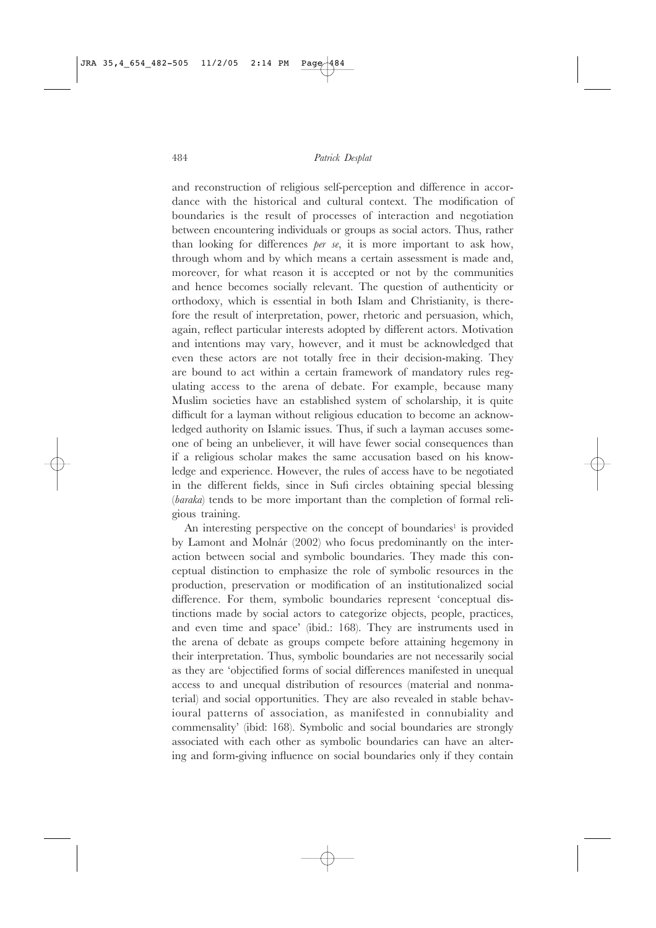and reconstruction of religious self-perception and difference in accordance with the historical and cultural context. The modification of boundaries is the result of processes of interaction and negotiation between encountering individuals or groups as social actors. Thus, rather than looking for differences *per se*, it is more important to ask how, through whom and by which means a certain assessment is made and, moreover, for what reason it is accepted or not by the communities and hence becomes socially relevant. The question of authenticity or orthodoxy, which is essential in both Islam and Christianity, is therefore the result of interpretation, power, rhetoric and persuasion, which, again, reflect particular interests adopted by different actors. Motivation and intentions may vary, however, and it must be acknowledged that even these actors are not totally free in their decision-making. They are bound to act within a certain framework of mandatory rules regulating access to the arena of debate. For example, because many Muslim societies have an established system of scholarship, it is quite difficult for a layman without religious education to become an acknowledged authority on Islamic issues. Thus, if such a layman accuses someone of being an unbeliever, it will have fewer social consequences than if a religious scholar makes the same accusation based on his knowledge and experience. However, the rules of access have to be negotiated in the different fields, since in Sufi circles obtaining special blessing (baraka) tends to be more important than the completion of formal religious training.

An interesting perspective on the concept of boundaries<sup>1</sup> is provided by Lamont and Molnár (2002) who focus predominantly on the interaction between social and symbolic boundaries. They made this conceptual distinction to emphasize the role of symbolic resources in the production, preservation or modification of an institutionalized social difference. For them, symbolic boundaries represent 'conceptual distinctions made by social actors to categorize objects, people, practices, and even time and space' (ibid.: 168). They are instruments used in the arena of debate as groups compete before attaining hegemony in their interpretation. Thus, symbolic boundaries are not necessarily social as they are 'objectified forms of social differences manifested in unequal access to and unequal distribution of resources (material and nonmaterial) and social opportunities. They are also revealed in stable behavioural patterns of association, as manifested in connubiality and commensality' (ibid: 168). Symbolic and social boundaries are strongly associated with each other as symbolic boundaries can have an altering and form-giving influence on social boundaries only if they contain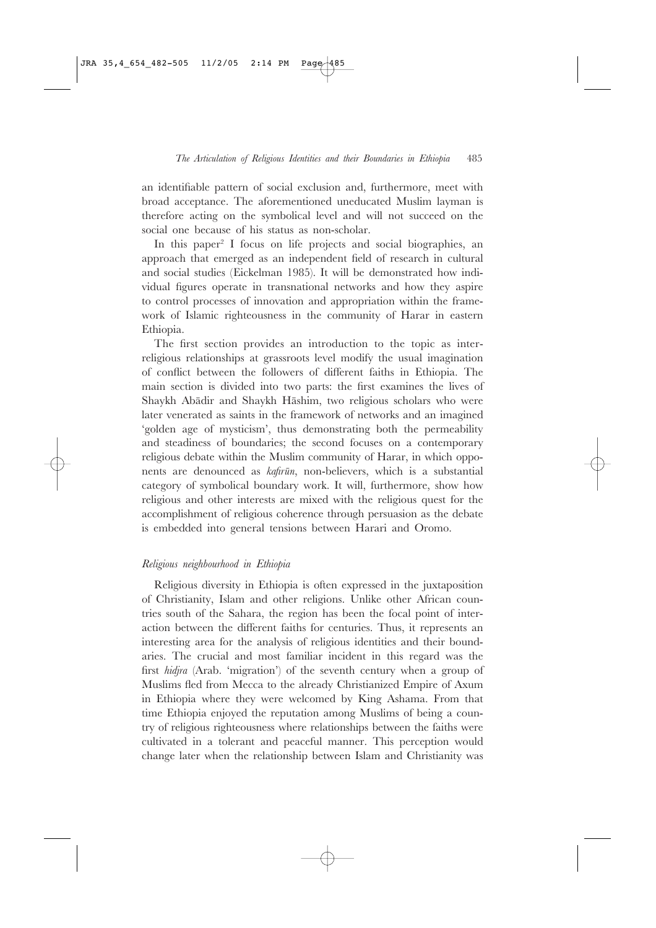an identifiable pattern of social exclusion and, furthermore, meet with broad acceptance. The aforementioned uneducated Muslim layman is therefore acting on the symbolical level and will not succeed on the social one because of his status as non-scholar.

In this paper<sup>2</sup> I focus on life projects and social biographies, an approach that emerged as an independent field of research in cultural and social studies (Eickelman 1985). It will be demonstrated how individual figures operate in transnational networks and how they aspire to control processes of innovation and appropriation within the framework of Islamic righteousness in the community of Harar in eastern Ethiopia.

The first section provides an introduction to the topic as interreligious relationships at grassroots level modify the usual imagination of conflict between the followers of different faiths in Ethiopia. The main section is divided into two parts: the first examines the lives of Shaykh Abādir and Shaykh Hāshim, two religious scholars who were later venerated as saints in the framework of networks and an imagined 'golden age of mysticism', thus demonstrating both the permeability and steadiness of boundaries; the second focuses on a contemporary religious debate within the Muslim community of Harar, in which opponents are denounced as kafirun, non-believers, which is a substantial category of symbolical boundary work. It will, furthermore, show how religious and other interests are mixed with the religious quest for the accomplishment of religious coherence through persuasion as the debate is embedded into general tensions between Harari and Oromo.

### Religious neighbourhood in Ethiopia

Religious diversity in Ethiopia is often expressed in the juxtaposition of Christianity, Islam and other religions. Unlike other African countries south of the Sahara, the region has been the focal point of interaction between the different faiths for centuries. Thus, it represents an interesting area for the analysis of religious identities and their boundaries. The crucial and most familiar incident in this regard was the first hidjra (Arab. 'migration') of the seventh century when a group of Muslims fled from Mecca to the already Christianized Empire of Axum in Ethiopia where they were welcomed by King Ashama. From that time Ethiopia enjoyed the reputation among Muslims of being a country of religious righteousness where relationships between the faiths were cultivated in a tolerant and peaceful manner. This perception would change later when the relationship between Islam and Christianity was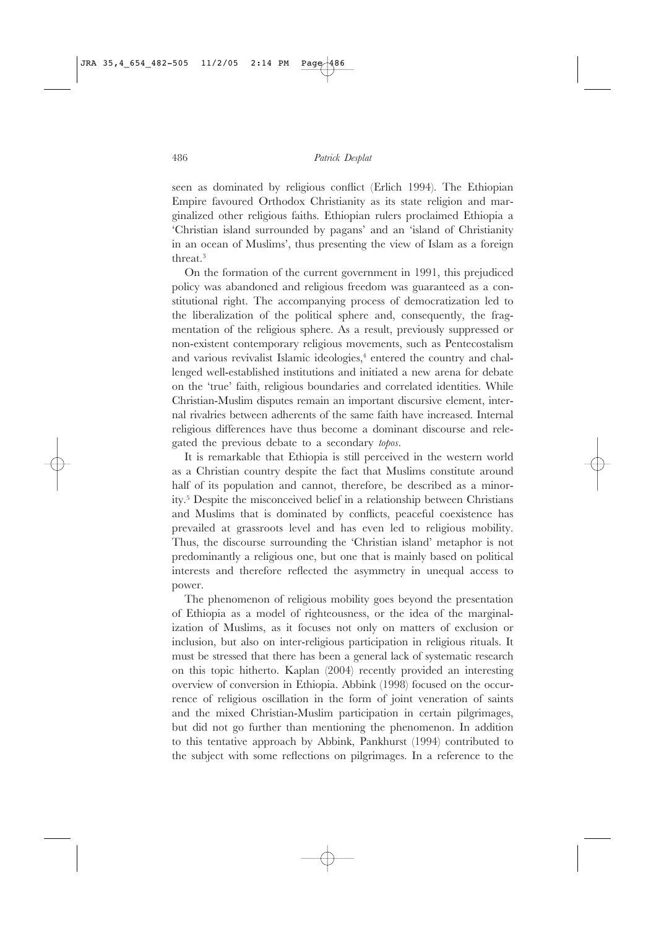seen as dominated by religious conflict (Erlich 1994). The Ethiopian Empire favoured Orthodox Christianity as its state religion and marginalized other religious faiths. Ethiopian rulers proclaimed Ethiopia a 'Christian island surrounded by pagans' and an 'island of Christianity in an ocean of Muslims', thus presenting the view of Islam as a foreign threat  $3$ 

On the formation of the current government in 1991, this prejudiced policy was abandoned and religious freedom was guaranteed as a constitutional right. The accompanying process of democratization led to the liberalization of the political sphere and, consequently, the fragmentation of the religious sphere. As a result, previously suppressed or non-existent contemporary religious movements, such as Pentecostalism and various revivalist Islamic ideologies,<sup>4</sup> entered the country and challenged well-established institutions and initiated a new arena for debate on the 'true' faith, religious boundaries and correlated identities. While Christian-Muslim disputes remain an important discursive element, internal rivalries between adherents of the same faith have increased. Internal religious differences have thus become a dominant discourse and relegated the previous debate to a secondary topos.

It is remarkable that Ethiopia is still perceived in the western world as a Christian country despite the fact that Muslims constitute around half of its population and cannot, therefore, be described as a minority.<sup>5</sup> Despite the misconceived belief in a relationship between Christians and Muslims that is dominated by conflicts, peaceful coexistence has prevailed at grassroots level and has even led to religious mobility. Thus, the discourse surrounding the 'Christian island' metaphor is not predominantly a religious one, but one that is mainly based on political interests and therefore reflected the asymmetry in unequal access to power.

The phenomenon of religious mobility goes beyond the presentation of Ethiopia as a model of righteousness, or the idea of the marginalization of Muslims, as it focuses not only on matters of exclusion or inclusion, but also on inter-religious participation in religious rituals. It must be stressed that there has been a general lack of systematic research on this topic hitherto. Kaplan (2004) recently provided an interesting overview of conversion in Ethiopia. Abbink (1998) focused on the occurrence of religious oscillation in the form of joint veneration of saints and the mixed Christian-Muslim participation in certain pilgrimages, but did not go further than mentioning the phenomenon. In addition to this tentative approach by Abbink, Pankhurst (1994) contributed to the subject with some reflections on pilgrimages. In a reference to the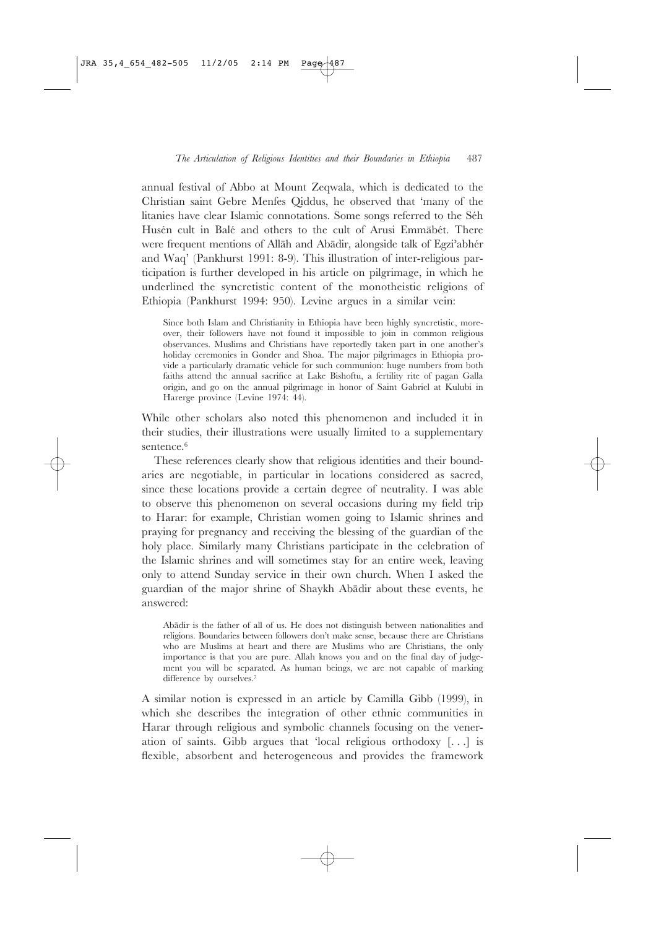annual festival of Abbo at Mount Zeqwala, which is dedicated to the Christian saint Gebre Menfes Qiddus, he observed that 'many of the litanies have clear Islamic connotations. Some songs referred to the Séh Husén cult in Balé and others to the cult of Arusi Emmäbét. There were frequent mentions of Allāh and Abādir, alongside talk of Egzi'abhér and Waq' (Pankhurst 1991: 8-9). This illustration of inter-religious participation is further developed in his article on pilgrimage, in which he underlined the syncretistic content of the monotheistic religions of Ethiopia (Pankhurst 1994: 950). Levine argues in a similar vein:

Since both Islam and Christianity in Ethiopia have been highly syncretistic, moreover, their followers have not found it impossible to join in common religious observances. Muslims and Christians have reportedly taken part in one another's holiday ceremonies in Gonder and Shoa. The major pilgrimages in Ethiopia provide a particularly dramatic vehicle for such communion: huge numbers from both faiths attend the annual sacrifice at Lake Bishoftu, a fertility rite of pagan Galla origin, and go on the annual pilgrimage in honor of Saint Gabriel at Kulubi in Harerge province (Levine 1974: 44).

While other scholars also noted this phenomenon and included it in their studies, their illustrations were usually limited to a supplementary sentence. $6$ 

These references clearly show that religious identities and their boundaries are negotiable, in particular in locations considered as sacred, since these locations provide a certain degree of neutrality. I was able to observe this phenomenon on several occasions during my field trip to Harar: for example, Christian women going to Islamic shrines and praying for pregnancy and receiving the blessing of the guardian of the holy place. Similarly many Christians participate in the celebration of the Islamic shrines and will sometimes stay for an entire week, leaving only to attend Sunday service in their own church. When I asked the guardian of the major shrine of Shaykh Abadir about these events, he answered:

Abadir is the father of all of us. He does not distinguish between nationalities and religions. Boundaries between followers don't make sense, because there are Christians who are Muslims at heart and there are Muslims who are Christians, the only importance is that you are pure. Allah knows you and on the final day of judgement you will be separated. As human beings, we are not capable of marking difference by ourselves.<sup>7</sup>

A similar notion is expressed in an article by Camilla Gibb (1999), in which she describes the integration of other ethnic communities in Harar through religious and symbolic channels focusing on the veneration of saints. Gibb argues that 'local religious orthodoxy  $[...]$  is flexible, absorbent and heterogeneous and provides the framework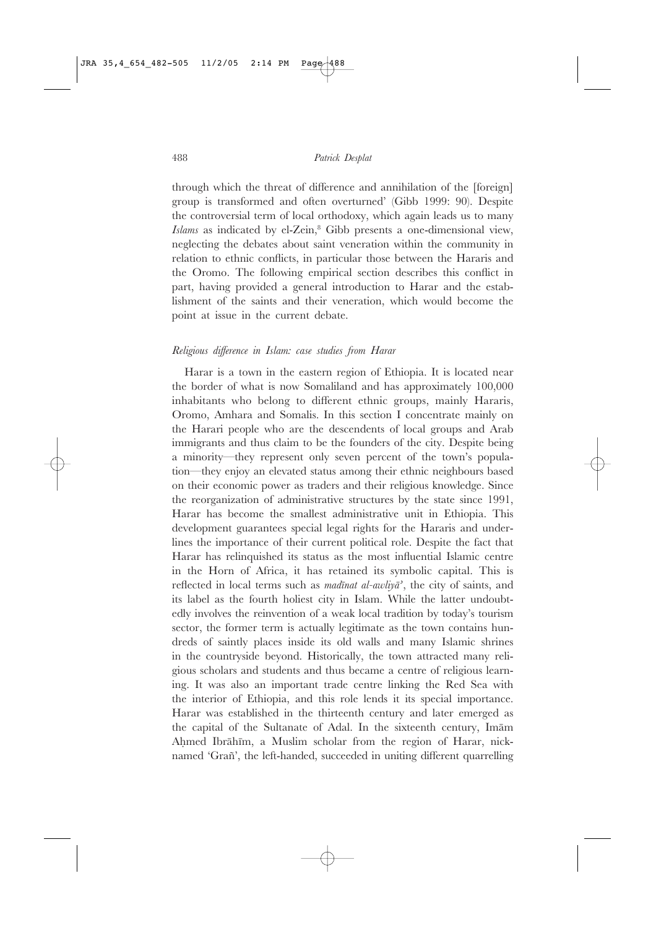through which the threat of difference and annihilation of the [foreign] group is transformed and often overturned' (Gibb 1999: 90). Despite the controversial term of local orthodoxy, which again leads us to many Islams as indicated by el-Zein,<sup>8</sup> Gibb presents a one-dimensional view, neglecting the debates about saint veneration within the community in relation to ethnic conflicts, in particular those between the Hararis and the Oromo. The following empirical section describes this conflict in part, having provided a general introduction to Harar and the establishment of the saints and their veneration, which would become the point at issue in the current debate.

### Religious difference in Islam: case studies from Harar

Harar is a town in the eastern region of Ethiopia. It is located near the border of what is now Somaliland and has approximately 100,000 inhabitants who belong to different ethnic groups, mainly Hararis, Oromo, Amhara and Somalis. In this section I concentrate mainly on the Harari people who are the descendents of local groups and Arab immigrants and thus claim to be the founders of the city. Despite being a minority—they represent only seven percent of the town's population—they enjoy an elevated status among their ethnic neighbours based on their economic power as traders and their religious knowledge. Since the reorganization of administrative structures by the state since 1991, Harar has become the smallest administrative unit in Ethiopia. This development guarantees special legal rights for the Hararis and underlines the importance of their current political role. Despite the fact that Harar has relinquished its status as the most influential Islamic centre in the Horn of Africa, it has retained its symbolic capital. This is reflected in local terms such as *madinat al-awliva*<sup>2</sup>, the city of saints, and its label as the fourth holiest city in Islam. While the latter undoubtedly involves the reinvention of a weak local tradition by today's tourism sector, the former term is actually legitimate as the town contains hundreds of saintly places inside its old walls and many Islamic shrines in the countryside beyond. Historically, the town attracted many religious scholars and students and thus became a centre of religious learning. It was also an important trade centre linking the Red Sea with the interior of Ethiopia, and this role lends it its special importance. Harar was established in the thirteenth century and later emerged as the capital of the Sultanate of Adal. In the sixteenth century, Imam Ahmed Ibrāhīm, a Muslim scholar from the region of Harar, nicknamed 'Grañ', the left-handed, succeeded in uniting different quarrelling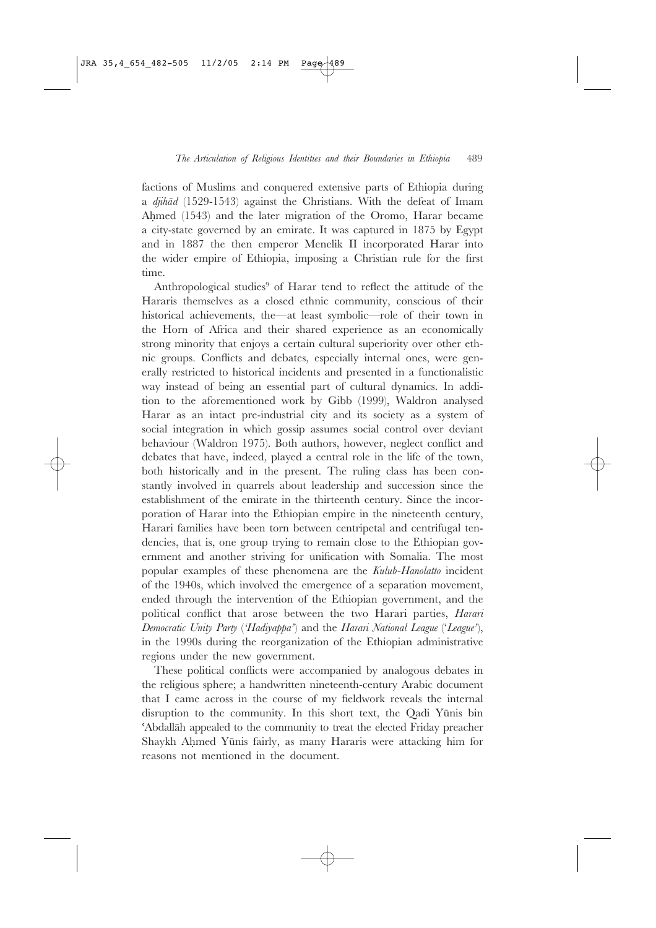factions of Muslims and conquered extensive parts of Ethiopia during a djihād  $(1529-1543)$  against the Christians. With the defeat of Imam Ahmed (1543) and the later migration of the Oromo, Harar became a city-state governed by an emirate. It was captured in 1875 by Egypt and in 1887 the then emperor Menelik II incorporated Harar into the wider empire of Ethiopia, imposing a Christian rule for the first  $time$ 

Anthropological studies<sup>9</sup> of Harar tend to reflect the attitude of the Hararis themselves as a closed ethnic community, conscious of their historical achievements, the-at least symbolic-role of their town in the Horn of Africa and their shared experience as an economically strong minority that enjoys a certain cultural superiority over other ethnic groups. Conflicts and debates, especially internal ones, were generally restricted to historical incidents and presented in a functionalistic way instead of being an essential part of cultural dynamics. In addition to the aforementioned work by Gibb (1999), Waldron analysed Harar as an intact pre-industrial city and its society as a system of social integration in which gossip assumes social control over deviant behaviour (Waldron 1975). Both authors, however, neglect conflict and debates that have, indeed, played a central role in the life of the town, both historically and in the present. The ruling class has been constantly involved in quarrels about leadership and succession since the establishment of the emirate in the thirteenth century. Since the incorporation of Harar into the Ethiopian empire in the nineteenth century, Harari families have been torn between centripetal and centrifugal tendencies, that is, one group trying to remain close to the Ethiopian government and another striving for unification with Somalia. The most popular examples of these phenomena are the Kulub-Hanolatto incident of the 1940s, which involved the emergence of a separation movement, ended through the intervention of the Ethiopian government, and the political conflict that arose between the two Harari parties, *Harari* Democratic Unity Party ('Hadiyappa') and the Harari National League ('League'), in the 1990s during the reorganization of the Ethiopian administrative regions under the new government.

These political conflicts were accompanied by analogous debates in the religious sphere; a handwritten nineteenth-century Arabic document that I came across in the course of my fieldwork reveals the internal disruption to the community. In this short text, the Oadi Yūnis bin 'Abdallah appealed to the community to treat the elected Friday preacher Shaykh Ahmed Yūnis fairly, as many Hararis were attacking him for reasons not mentioned in the document.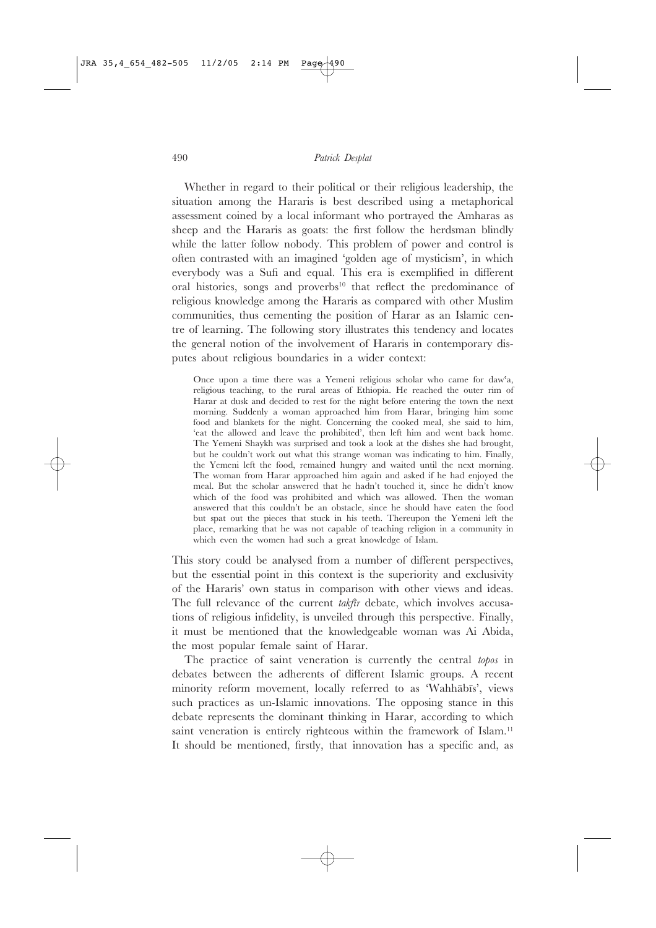Whether in regard to their political or their religious leadership, the situation among the Hararis is best described using a metaphorical assessment coined by a local informant who portrayed the Amharas as sheep and the Hararis as goats: the first follow the herdsman blindly while the latter follow nobody. This problem of power and control is often contrasted with an imagined 'golden age of mysticism', in which everybody was a Sufi and equal. This era is exemplified in different oral histories, songs and proverbs<sup>10</sup> that reflect the predominance of religious knowledge among the Hararis as compared with other Muslim communities, thus cementing the position of Harar as an Islamic centre of learning. The following story illustrates this tendency and locates the general notion of the involvement of Hararis in contemporary disputes about religious boundaries in a wider context:

Once upon a time there was a Yemeni religious scholar who came for daw'a, religious teaching, to the rural areas of Ethiopia. He reached the outer rim of Harar at dusk and decided to rest for the night before entering the town the next morning. Suddenly a woman approached him from Harar, bringing him some food and blankets for the night. Concerning the cooked meal, she said to him, 'eat the allowed and leave the prohibited', then left him and went back home. The Yemeni Shaykh was surprised and took a look at the dishes she had brought, but he couldn't work out what this strange woman was indicating to him. Finally, the Yemeni left the food, remained hungry and waited until the next morning. The woman from Harar approached him again and asked if he had enjoyed the meal. But the scholar answered that he hadn't touched it, since he didn't know which of the food was prohibited and which was allowed. Then the woman answered that this couldn't be an obstacle, since he should have eaten the food but spat out the pieces that stuck in his teeth. Thereupon the Yemeni left the place, remarking that he was not capable of teaching religion in a community in which even the women had such a great knowledge of Islam.

This story could be analysed from a number of different perspectives, but the essential point in this context is the superiority and exclusivity of the Hararis' own status in comparison with other views and ideas. The full relevance of the current takfir debate, which involves accusations of religious infidelity, is unveiled through this perspective. Finally, it must be mentioned that the knowledgeable woman was Ai Abida, the most popular female saint of Harar.

The practice of saint veneration is currently the central topos in debates between the adherents of different Islamic groups. A recent minority reform movement, locally referred to as 'Wahhābīs', views such practices as un-Islamic innovations. The opposing stance in this debate represents the dominant thinking in Harar, according to which saint veneration is entirely righteous within the framework of Islam.<sup>11</sup> It should be mentioned, firstly, that innovation has a specific and, as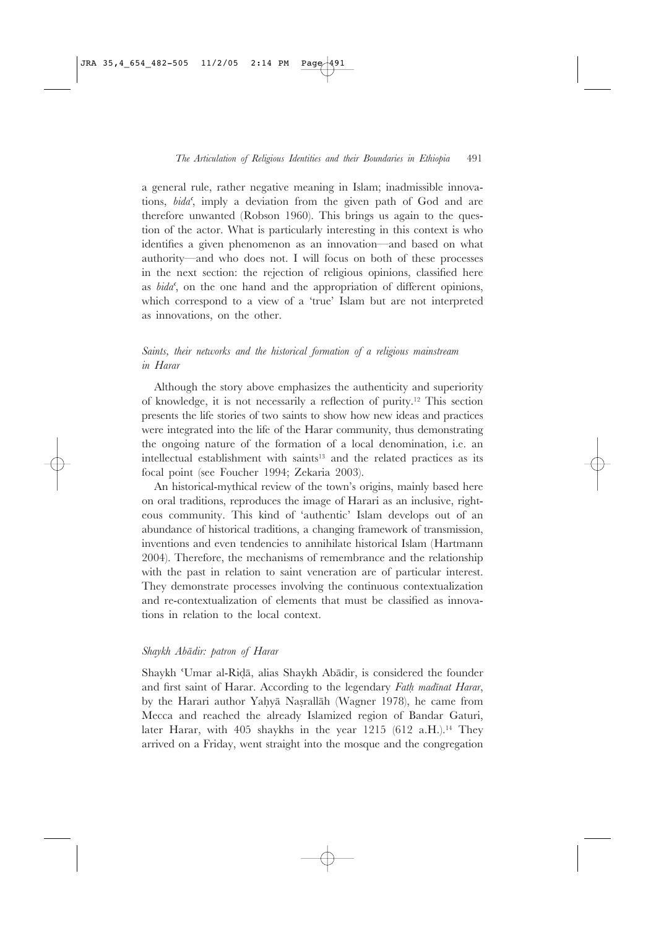a general rule, rather negative meaning in Islam; inadmissible innovations, *bida*', imply a deviation from the given path of God and are therefore unwanted (Robson 1960). This brings us again to the question of the actor. What is particularly interesting in this context is who identifies a given phenomenon as an innovation—and based on what authority—and who does not. I will focus on both of these processes in the next section: the rejection of religious opinions, classified here as *bida*<sup> $\zeta$ </sup>, on the one hand and the appropriation of different opinions, which correspond to a view of a 'true' Islam but are not interpreted as innovations, on the other.

# Saints, their networks and the historical formation of a religious mainstream in Harar

Although the story above emphasizes the authenticity and superiority of knowledge, it is not necessarily a reflection of purity.<sup>12</sup> This section presents the life stories of two saints to show how new ideas and practices were integrated into the life of the Harar community, thus demonstrating the ongoing nature of the formation of a local denomination, i.e. an intellectual establishment with saints<sup>13</sup> and the related practices as its focal point (see Foucher 1994; Zekaria 2003).

An historical-mythical review of the town's origins, mainly based here on oral traditions, reproduces the image of Harari as an inclusive, righteous community. This kind of 'authentic' Islam develops out of an abundance of historical traditions, a changing framework of transmission, inventions and even tendencies to annihilate historical Islam (Hartmann 2004). Therefore, the mechanisms of remembrance and the relationship with the past in relation to saint veneration are of particular interest. They demonstrate processes involving the continuous contextualization and re-contextualization of elements that must be classified as innovations in relation to the local context

### Shaykh Abādir: patron of Harar

Shaykh 'Umar al-Ridā, alias Shaykh Abādir, is considered the founder and first saint of Harar. According to the legendary Fath madinat Harar, by the Harari author Yahyā Nașrallāh (Wagner 1978), he came from Mecca and reached the already Islamized region of Bandar Gaturi, later Harar, with 405 shaykhs in the year 1215 (612 a.H.).<sup>14</sup> They arrived on a Friday, went straight into the mosque and the congregation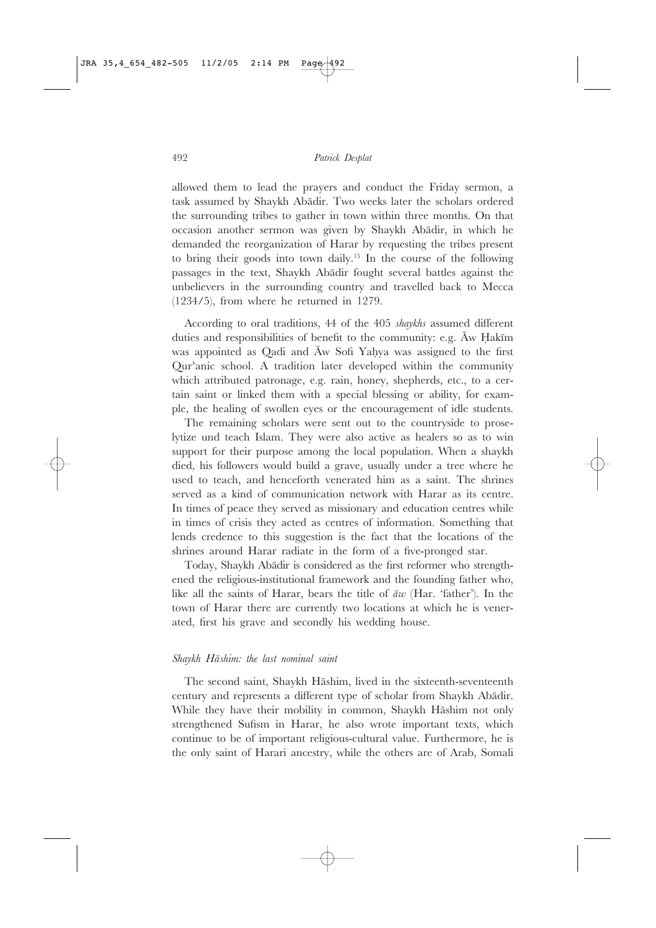allowed them to lead the prayers and conduct the Friday sermon, a task assumed by Shavkh Abadir. Two weeks later the scholars ordered the surrounding tribes to gather in town within three months. On that occasion another sermon was given by Shaykh Abadir, in which he demanded the reorganization of Harar by requesting the tribes present to bring their goods into town daily.<sup>15</sup> In the course of the following passages in the text, Shaykh Abadir fought several battles against the unbelievers in the surrounding country and travelled back to Mecca  $(1234/5)$ , from where he returned in 1279.

According to oral traditions, 44 of the 405 shaykhs assumed different duties and responsibilities of benefit to the community: e.g. Aw Hakim was appointed as Oadi and Aw Sofi Yahya was assigned to the first Our'anic school. A tradition later developed within the community which attributed patronage, e.g. rain, honey, shepherds, etc., to a certain saint or linked them with a special blessing or ability, for example, the healing of swollen eyes or the encouragement of idle students.

The remaining scholars were sent out to the countryside to proselytize und teach Islam. They were also active as healers so as to win support for their purpose among the local population. When a shaykh died, his followers would build a grave, usually under a tree where he used to teach, and henceforth venerated him as a saint. The shrines served as a kind of communication network with Harar as its centre. In times of peace they served as missionary and education centres while in times of crisis they acted as centres of information. Something that lends credence to this suggestion is the fact that the locations of the shrines around Harar radiate in the form of a five-pronged star.

Today, Shaykh Abādir is considered as the first reformer who strengthened the religious-institutional framework and the founding father who, like all the saints of Harar, bears the title of  $\bar{a}w$  (Har. 'father'). In the town of Harar there are currently two locations at which he is venerated, first his grave and secondly his wedding house.

### Shaykh Hāshim: the last nominal saint

The second saint, Shaykh Hāshim, lived in the sixteenth-seventeenth century and represents a different type of scholar from Shaykh Abadir. While they have their mobility in common, Shaykh Hāshim not only strengthened Sufism in Harar, he also wrote important texts, which continue to be of important religious-cultural value. Furthermore, he is the only saint of Harari ancestry, while the others are of Arab, Somali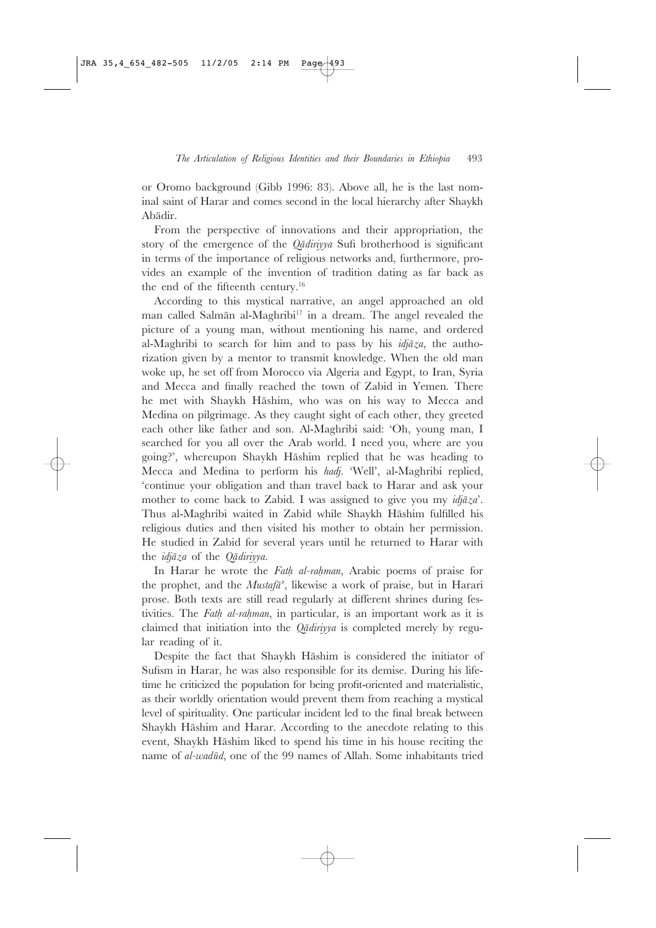or Oromo background (Gibb 1996: 83). Above all, he is the last nominal saint of Harar and comes second in the local hierarchy after Shaykh Abādir.

From the perspective of innovations and their appropriation, the story of the emergence of the *Qadiriyya* Sufi brotherhood is significant in terms of the importance of religious networks and, furthermore, provides an example of the invention of tradition dating as far back as the end of the fifteenth century.<sup>16</sup>

According to this mystical narrative, an angel approached an old man called Salmān al-Maghribi<sup>17</sup> in a dream. The angel revealed the picture of a young man, without mentioning his name, and ordered al-Maghribi to search for him and to pass by his  $\frac{d}{d\theta}$  *idjaza*, the authorization given by a mentor to transmit knowledge. When the old man woke up, he set off from Morocco via Algeria and Egypt, to Iran, Syria and Mecca and finally reached the town of Zabid in Yemen. There he met with Shaykh Hāshim, who was on his way to Mecca and Medina on pilgrimage. As they caught sight of each other, they greeted each other like father and son. Al-Maghribi said: 'Oh, young man, I searched for you all over the Arab world. I need you, where are you going?', whereupon Shaykh Hāshim replied that he was heading to Mecca and Medina to perform his hadi. 'Well', al-Maghribi replied, 'continue your obligation and than travel back to Harar and ask your mother to come back to Zabid. I was assigned to give you my  $\frac{id\bar{p}za'}{dt\bar{p}za'}$ . Thus al-Maghribi waited in Zabid while Shaykh Hāshim fulfilled his religious duties and then visited his mother to obtain her permission. He studied in Zabid for several years until he returned to Harar with the idjāza of the Qādiriyya.

In Harar he wrote the *Fath al-rahman*, Arabic poems of praise for the prophet, and the *Mustafa*', likewise a work of praise, but in Harari prose. Both texts are still read regularly at different shrines during festivities. The *Fath al-rahman*, in particular, is an important work as it is claimed that initiation into the  $Q\bar{a}$  diriyya is completed merely by regular reading of it.

Despite the fact that Shaykh Hāshim is considered the initiator of Sufism in Harar, he was also responsible for its demise. During his lifetime he criticized the population for being profit-oriented and materialistic, as their worldly orientation would prevent them from reaching a mystical level of spirituality. One particular incident led to the final break between Shaykh Hāshim and Harar. According to the anecdote relating to this event, Shaykh Hāshim liked to spend his time in his house reciting the name of al-wadūd, one of the 99 names of Allah. Some inhabitants tried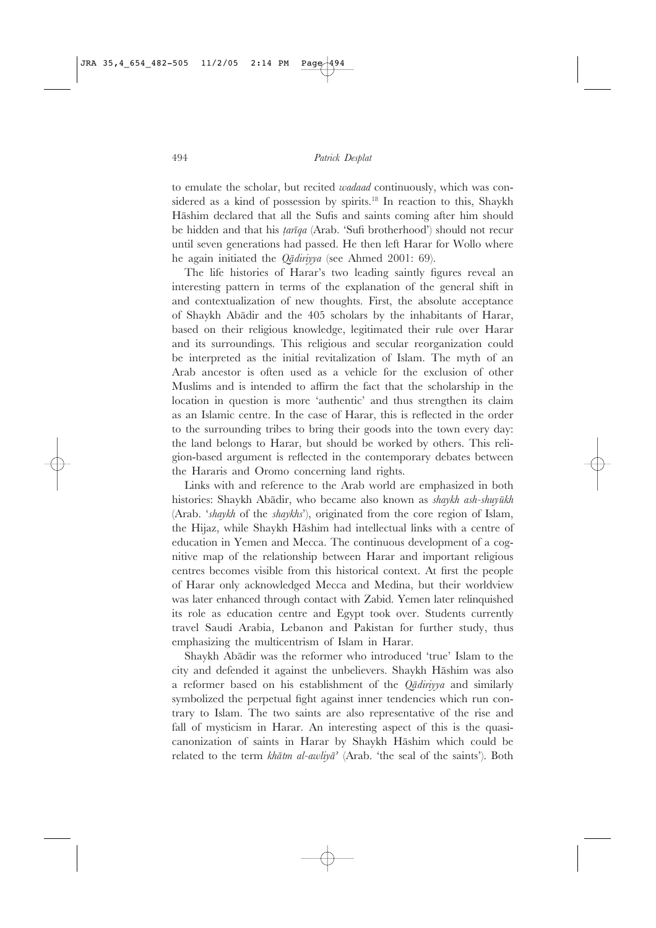to emulate the scholar, but recited *wadaad* continuously, which was considered as a kind of possession by spirits.<sup>18</sup> In reaction to this, Shaykh Hāshim declared that all the Sufis and saints coming after him should be hidden and that his tarīga (Arab. 'Sufi brotherhood') should not recur until seven generations had passed. He then left Harar for Wollo where he again initiated the  $Q\bar{a}$ diriyya (see Ahmed 2001: 69).

The life histories of Harar's two leading saintly figures reveal an interesting pattern in terms of the explanation of the general shift in and contextualization of new thoughts. First, the absolute acceptance of Shaykh Abadir and the 405 scholars by the inhabitants of Harar, based on their religious knowledge, legitimated their rule over Harar and its surroundings. This religious and secular reorganization could be interpreted as the initial revitalization of Islam. The myth of an Arab ancestor is often used as a vehicle for the exclusion of other Muslims and is intended to affirm the fact that the scholarship in the location in question is more 'authentic' and thus strengthen its claim as an Islamic centre. In the case of Harar, this is reflected in the order to the surrounding tribes to bring their goods into the town every day: the land belongs to Harar, but should be worked by others. This religion-based argument is reflected in the contemporary debates between the Hararis and Oromo concerning land rights.

Links with and reference to the Arab world are emphasized in both histories: Shaykh Abādir, who became also known as shaykh ash-shuyūkh (Arab. 'shaykh of the shaykhs'), originated from the core region of Islam, the Hijaz, while Shaykh Hāshim had intellectual links with a centre of education in Yemen and Mecca. The continuous development of a cognitive map of the relationship between Harar and important religious centres becomes visible from this historical context. At first the people of Harar only acknowledged Mecca and Medina, but their worldview was later enhanced through contact with Zabid. Yemen later relinquished its role as education centre and Egypt took over. Students currently travel Saudi Arabia, Lebanon and Pakistan for further study, thus emphasizing the multicentrism of Islam in Harar.

Shaykh Abādir was the reformer who introduced 'true' Islam to the city and defended it against the unbelievers. Shaykh Hāshim was also a reformer based on his establishment of the  $\ddot{Q}\vec{a}$  diriyya and similarly symbolized the perpetual fight against inner tendencies which run contrary to Islam. The two saints are also representative of the rise and fall of mysticism in Harar. An interesting aspect of this is the quasicanonization of saints in Harar by Shaykh Hashim which could be related to the term khātm al-awliyā' (Arab. 'the seal of the saints'). Both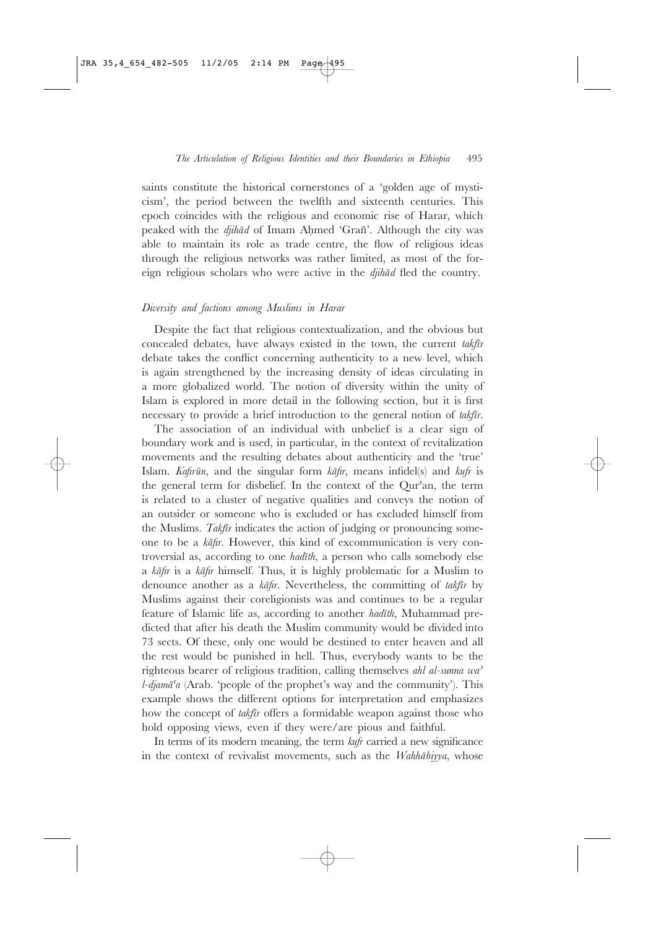saints constitute the historical cornerstones of a 'golden age of mysticism', the period between the twelfth and sixteenth centuries. This epoch coincides with the religious and economic rise of Harar, which peaked with the *dihad* of Imam Ahmed 'Grañ'. Although the city was able to maintain its role as trade centre, the flow of religious ideas through the religious networks was rather limited, as most of the foreign religious scholars who were active in the djihad fled the country.

### Diversity and factions among Muslims in Harar

Despite the fact that religious contextualization, and the obvious but concealed debates, have always existed in the town, the current takfir debate takes the conflict concerning authenticity to a new level, which is again strengthened by the increasing density of ideas circulating in a more globalized world. The notion of diversity within the unity of Islam is explored in more detail in the following section, but it is first necessary to provide a brief introduction to the general notion of takfir.

The association of an individual with unbelief is a clear sign of boundary work and is used, in particular, in the context of revitalization movements and the resulting debates about authenticity and the 'true' Islam. Kafirūn, and the singular form  $k\bar{a}$ fir, means infidel(s) and  $kufr$  is the general term for disbelief. In the context of the Our'an, the term is related to a cluster of negative qualities and conveys the notion of an outsider or someone who is excluded or has excluded himself from the Muslims. Takfir indicates the action of judging or pronouncing someone to be a kāfir. However, this kind of excommunication is very controversial as, according to one *hadith*, a person who calls somebody else a  $k\bar{a}$ fir is a  $k\bar{a}$ fir himself. Thus, it is highly problematic for a Muslim to denounce another as a  $k\bar{a}$ fir. Nevertheless, the committing of takfir by Muslims against their coreligionists was and continues to be a regular feature of Islamic life as, according to another *hadith*, Muhammad predicted that after his death the Muslim community would be divided into 73 sects. Of these, only one would be destined to enter heaven and all the rest would be punished in hell. Thus, everybody wants to be the righteous bearer of religious tradition, calling themselves *ahl al-sunna wa*<sup>2</sup> l-djamā'a (Arab. 'people of the prophet's way and the community'). This example shows the different options for interpretation and emphasizes how the concept of *takfir* offers a formidable weapon against those who hold opposing views, even if they were/are pious and faithful.

In terms of its modern meaning, the term  $kufr$  carried a new significance in the context of revivalist movements, such as the Wahhābiyya, whose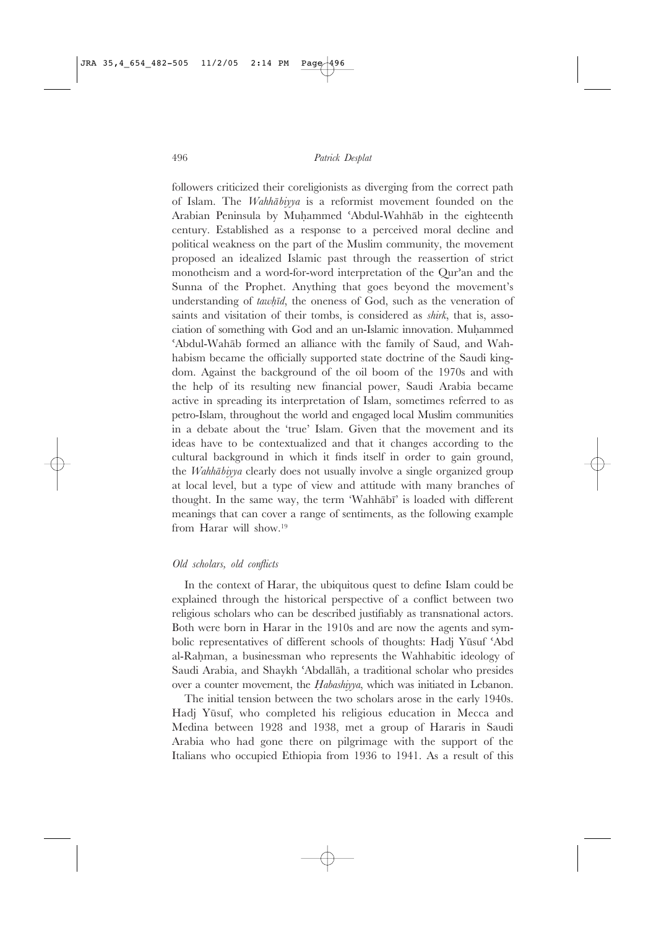followers criticized their coreligionists as diverging from the correct path of Islam. The *Wahhabivya* is a reformist movement founded on the Arabian Peninsula by Muhammed 'Abdul-Wahhab in the eighteenth century. Established as a response to a perceived moral decline and political weakness on the part of the Muslim community, the movement proposed an idealized Islamic past through the reassertion of strict monotheism and a word-for-word interpretation of the Qur'an and the Sunna of the Prophet. Anything that goes beyond the movement's understanding of *tawhid*, the oneness of God, such as the veneration of saints and visitation of their tombs, is considered as *shirk*, that is, association of something with God and an un-Islamic innovation. Muhammed 'Abdul-Wahab formed an alliance with the family of Saud, and Wahhabism became the officially supported state doctrine of the Saudi kingdom. Against the background of the oil boom of the 1970s and with the help of its resulting new financial power, Saudi Arabia became active in spreading its interpretation of Islam, sometimes referred to as petro-Islam, throughout the world and engaged local Muslim communities in a debate about the 'true' Islam. Given that the movement and its ideas have to be contextualized and that it changes according to the cultural background in which it finds itself in order to gain ground, the *Wahhābiyya* clearly does not usually involve a single organized group at local level, but a type of view and attitude with many branches of thought. In the same way, the term 'Wahhābī' is loaded with different meanings that can cover a range of sentiments, as the following example from Harar will show.<sup>19</sup>

### Old scholars, old conflicts

In the context of Harar, the ubiquitous quest to define Islam could be explained through the historical perspective of a conflict between two religious scholars who can be described justifiably as transnational actors. Both were born in Harar in the 1910s and are now the agents and symbolic representatives of different schools of thoughts: Hadj Yūsuf 'Abd al-Rahman, a businessman who represents the Wahhabitic ideology of Saudi Arabia, and Shaykh 'Abdallah, a traditional scholar who presides over a counter movement, the *Habashivva*, which was initiated in Lebanon.

The initial tension between the two scholars arose in the early 1940s. Hadi Yūsuf, who completed his religious education in Mecca and Medina between 1928 and 1938, met a group of Hararis in Saudi Arabia who had gone there on pilgrimage with the support of the Italians who occupied Ethiopia from 1936 to 1941. As a result of this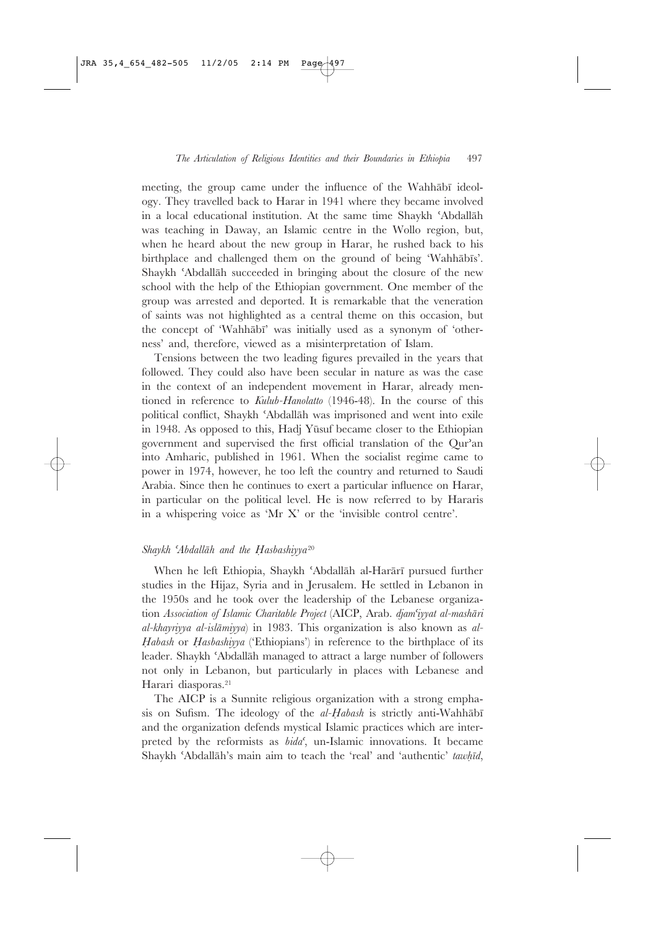meeting, the group came under the influence of the Wahhābī ideology. They travelled back to Harar in 1941 where they became involved in a local educational institution. At the same time Shaykh 'Abdallah was teaching in Daway, an Islamic centre in the Wollo region, but, when he heard about the new group in Harar, he rushed back to his birthplace and challenged them on the ground of being 'Wahhābīs'. Shaykh 'Abdallah succeeded in bringing about the closure of the new school with the help of the Ethiopian government. One member of the group was arrested and deported. It is remarkable that the veneration of saints was not highlighted as a central theme on this occasion, but the concept of 'Wahhabi' was initially used as a synonym of 'otherness' and, therefore, viewed as a misinterpretation of Islam.

Tensions between the two leading figures prevailed in the years that followed. They could also have been secular in nature as was the case in the context of an independent movement in Harar, already mentioned in reference to Kulub-Hanolatto (1946-48). In the course of this political conflict, Shaykh 'Abdallah was imprisoned and went into exile in 1948. As opposed to this, Hadj Yūsuf became closer to the Ethiopian government and supervised the first official translation of the Qur'an into Amharic, published in 1961. When the socialist regime came to power in 1974, however, he too left the country and returned to Saudi Arabia. Since then he continues to exert a particular influence on Harar, in particular on the political level. He is now referred to by Hararis in a whispering voice as 'Mr X' or the 'invisible control centre'.

### Shaykh 'Abdallah and the Hasbashiyya<sup>20</sup>

When he left Ethiopia, Shaykh 'Abdallāh al-Harārī pursued further studies in the Hijaz, Syria and in Jerusalem. He settled in Lebanon in the 1950s and he took over the leadership of the Lebanese organization Association of Islamic Charitable Project (AICP, Arab. djam'iyyat al-mashari al-khayriyya al-islāmiyya) in 1983. This organization is also known as al-Habash or Hasbashiyya ('Ethiopians') in reference to the birthplace of its leader. Shaykh 'Abdallah managed to attract a large number of followers not only in Lebanon, but particularly in places with Lebanese and Harari diasporas.<sup>21</sup>

The AICP is a Sunnite religious organization with a strong emphasis on Sufism. The ideology of the *al-Habash* is strictly anti-Wahhābī and the organization defends mystical Islamic practices which are interpreted by the reformists as *bida'*, un-Islamic innovations. It became Shaykh 'Abdallah's main aim to teach the 'real' and 'authentic' tawhid,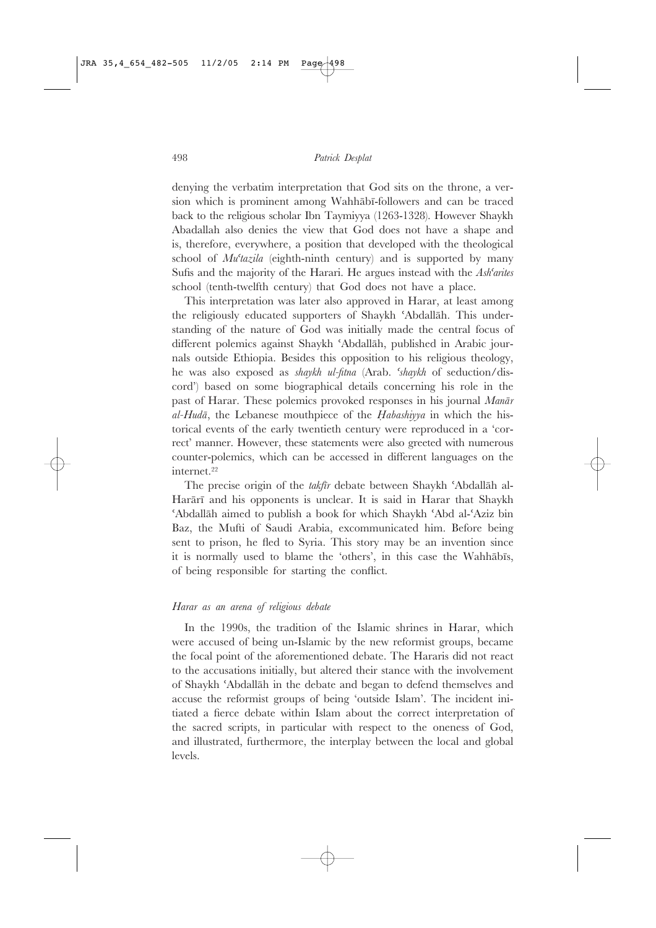denying the verbatim interpretation that God sits on the throne, a version which is prominent among Wahhābī-followers and can be traced back to the religious scholar Ibn Taymiyya (1263-1328). However Shaykh Abadallah also denies the view that God does not have a shape and is, therefore, everywhere, a position that developed with the theological school of  $Mu^t$  *azila* (eighth-ninth century) and is supported by many Sufis and the majority of the Harari. He argues instead with the Ash'antes school (tenth-twelfth century) that God does not have a place.

This interpretation was later also approved in Harar, at least among the religiously educated supporters of Shaykh 'Abdallah. This understanding of the nature of God was initially made the central focus of different polemics against Shaykh 'Abdallah, published in Arabic journals outside Ethiopia. Besides this opposition to his religious theology, he was also exposed as *shaykh ul-fitna* (Arab. 'shaykh of seduction/discord') based on some biographical details concerning his role in the past of Harar. These polemics provoked responses in his journal Manar  $al-Hud\bar{a}$ , the Lebanese mouthpiece of the Habashiyya in which the historical events of the early twentieth century were reproduced in a 'correct' manner. However, these statements were also greeted with numerous counter-polemics, which can be accessed in different languages on the  $internet<sup>22</sup>$ 

The precise origin of the takfir debate between Shaykh 'Abdallah al-Harārī and his opponents is unclear. It is said in Harar that Shaykh 'Abdallah aimed to publish a book for which Shaykh 'Abd al-'Aziz bin Baz, the Mufti of Saudi Arabia, excommunicated him. Before being sent to prison, he fled to Syria. This story may be an invention since it is normally used to blame the 'others', in this case the Wahhabis, of being responsible for starting the conflict.

### Harar as an arena of religious debate

In the 1990s, the tradition of the Islamic shrines in Harar, which were accused of being un-Islamic by the new reformist groups, became the focal point of the aforementioned debate. The Hararis did not react to the accusations initially, but altered their stance with the involvement of Shaykh 'Abdallah in the debate and began to defend themselves and accuse the reformist groups of being 'outside Islam'. The incident initiated a fierce debate within Islam about the correct interpretation of the sacred scripts, in particular with respect to the oneness of God, and illustrated, furthermore, the interplay between the local and global levels.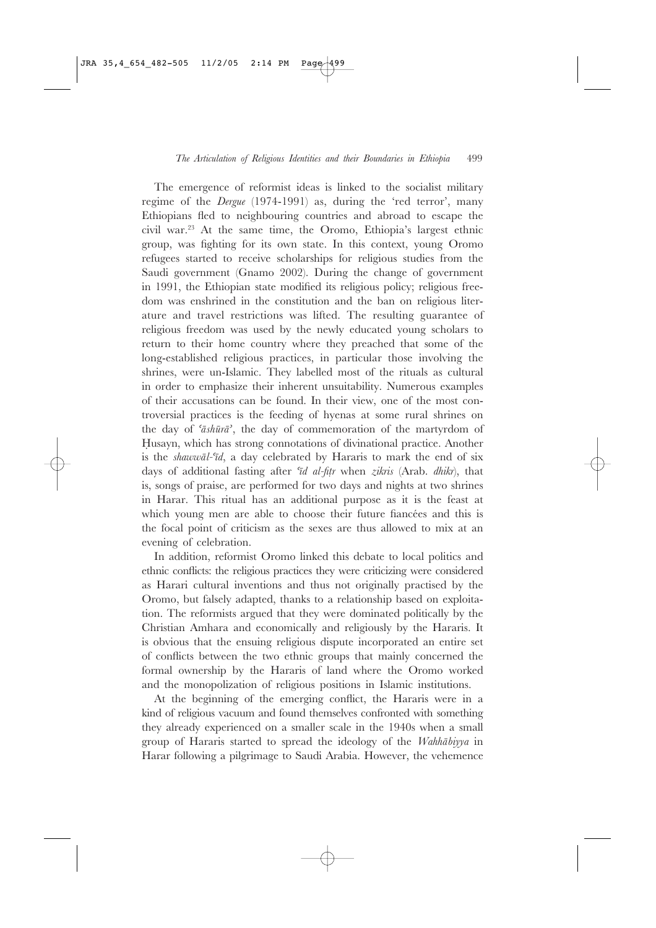The emergence of reformist ideas is linked to the socialist military regime of the *Dergue* (1974-1991) as, during the 'red terror', many Ethiopians fled to neighbouring countries and abroad to escape the civil war.<sup>23</sup> At the same time, the Oromo, Ethiopia's largest ethnic group, was fighting for its own state. In this context, young Oromo refugees started to receive scholarships for religious studies from the Saudi government (Gnamo 2002). During the change of government in 1991, the Ethiopian state modified its religious policy; religious freedom was enshrined in the constitution and the ban on religious literature and travel restrictions was lifted. The resulting guarantee of religious freedom was used by the newly educated young scholars to return to their home country where they preached that some of the long-established religious practices, in particular those involving the shrines, were un-Islamic. They labelled most of the rituals as cultural in order to emphasize their inherent unsuitability. Numerous examples of their accusations can be found. In their view, one of the most controversial practices is the feeding of hyenas at some rural shrines on the day of 'āshūrā', the day of commemoration of the martyrdom of Husayn, which has strong connotations of divinational practice. Another is the shawwal-'id, a day celebrated by Hararis to mark the end of six days of additional fasting after 'id al-fitr when zikris (Arab. dhikr), that is, songs of praise, are performed for two days and nights at two shrines in Harar. This ritual has an additional purpose as it is the feast at which young men are able to choose their future fiancées and this is the focal point of criticism as the sexes are thus allowed to mix at an evening of celebration.

In addition, reformist Oromo linked this debate to local politics and ethnic conflicts: the religious practices they were criticizing were considered as Harari cultural inventions and thus not originally practised by the Oromo, but falsely adapted, thanks to a relationship based on exploitation. The reformists argued that they were dominated politically by the Christian Amhara and economically and religiously by the Hararis. It is obvious that the ensuing religious dispute incorporated an entire set of conflicts between the two ethnic groups that mainly concerned the formal ownership by the Hararis of land where the Oromo worked and the monopolization of religious positions in Islamic institutions.

At the beginning of the emerging conflict, the Hararis were in a kind of religious vacuum and found themselves confronted with something they already experienced on a smaller scale in the 1940s when a small group of Hararis started to spread the ideology of the Wahhābiyya in Harar following a pilgrimage to Saudi Arabia. However, the vehemence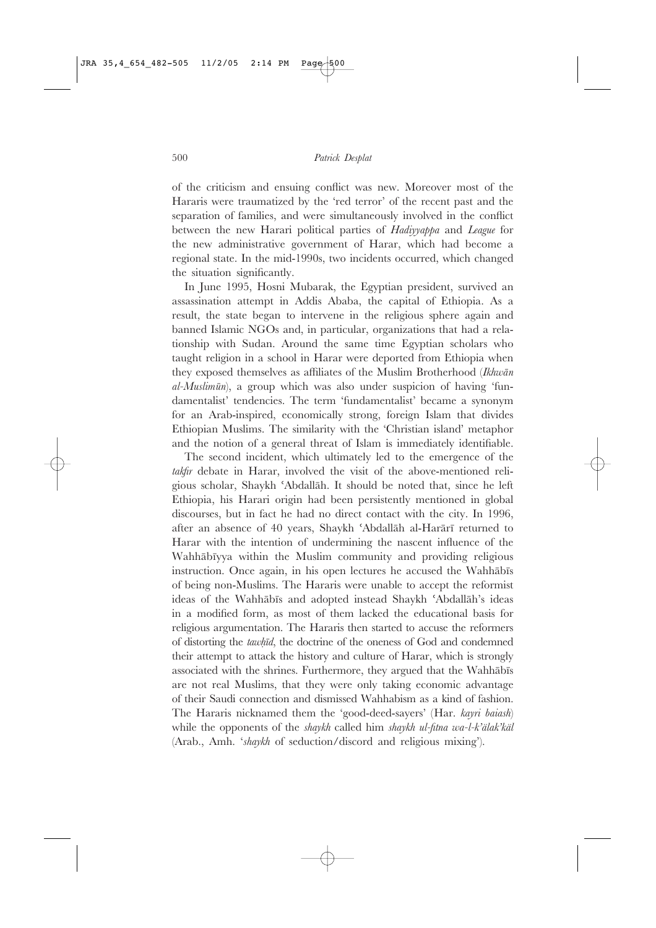of the criticism and ensuing conflict was new. Moreover most of the Hararis were traumatized by the 'red terror' of the recent past and the separation of families, and were simultaneously involved in the conflict between the new Harari political parties of *Hadiyyappa* and *League* for the new administrative government of Harar, which had become a regional state. In the mid-1990s, two incidents occurred, which changed the situation significantly.

In June 1995, Hosni Mubarak, the Egyptian president, survived an assassination attempt in Addis Ababa, the capital of Ethiopia. As a result, the state began to intervene in the religious sphere again and banned Islamic NGOs and, in particular, organizations that had a relationship with Sudan. Around the same time Egyptian scholars who taught religion in a school in Harar were deported from Ethiopia when they exposed themselves as affiliates of the Muslim Brotherhood (Ikhwān  $al$ -Muslimūn), a group which was also under suspicion of having 'fundamentalist' tendencies. The term 'fundamentalist' became a synonym for an Arab-inspired, economically strong, foreign Islam that divides Ethiopian Muslims. The similarity with the 'Christian island' metaphor and the notion of a general threat of Islam is immediately identifiable.

The second incident, which ultimately led to the emergence of the takfir debate in Harar, involved the visit of the above-mentioned religious scholar, Shaykh 'Abdallah. It should be noted that, since he left Ethiopia, his Harari origin had been persistently mentioned in global discourses, but in fact he had no direct contact with the city. In 1996, after an absence of 40 years, Shaykh 'Abdallah al-Harari returned to Harar with the intention of undermining the nascent influence of the Wahhābīyya within the Muslim community and providing religious instruction. Once again, in his open lectures he accused the Wahhābīs of being non-Muslims. The Hararis were unable to accept the reformist ideas of the Wahhabis and adopted instead Shaykh 'Abdallah's ideas in a modified form, as most of them lacked the educational basis for religious argumentation. The Hararis then started to accuse the reformers of distorting the *tawhid*, the doctrine of the oneness of God and condemned their attempt to attack the history and culture of Harar, which is strongly associated with the shrines. Furthermore, they argued that the Wahhabis are not real Muslims, that they were only taking economic advantage of their Saudi connection and dismissed Wahhabism as a kind of fashion. The Hararis nicknamed them the 'good-deed-sayers' (Har. kayn baiash) while the opponents of the shaykh called him shaykh ul-fitna wa-l-k'älak'käl (Arab., Amh. 'shaykh of seduction/discord and religious mixing').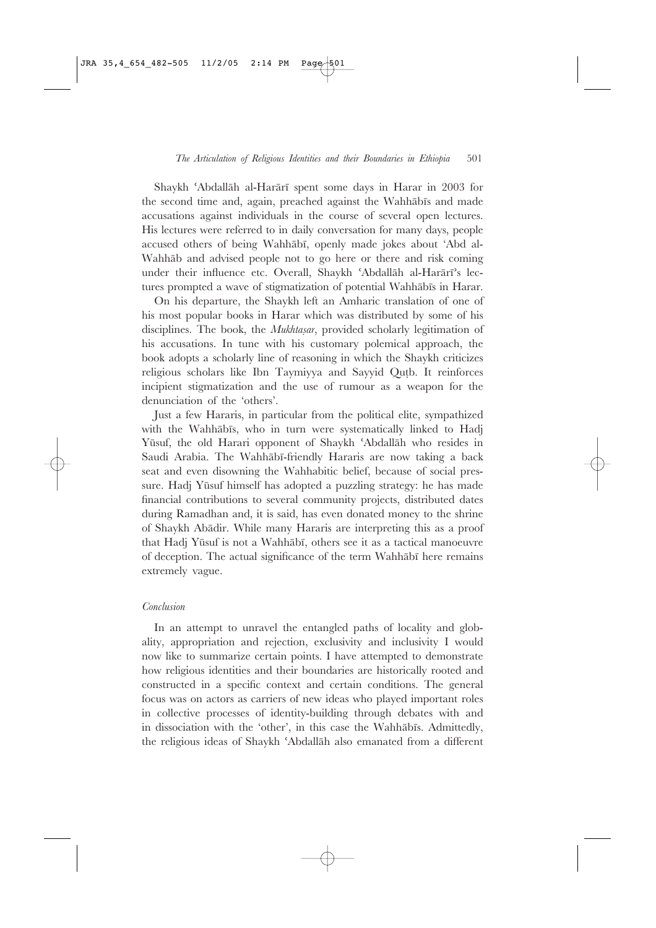Shaykh 'Abdallāh al-Harārī spent some days in Harar in 2003 for the second time and, again, preached against the Wahhābīs and made accusations against individuals in the course of several open lectures. His lectures were referred to in daily conversation for many days, people accused others of being Wahhābī, openly made jokes about 'Abd al-Wahhāb and advised people not to go here or there and risk coming under their influence etc. Overall, Shaykh 'Abdallāh al-Harārī's lectures prompted a wave of stigmatization of potential Wahhābīs in Harar.

On his departure, the Shaykh left an Amharic translation of one of his most popular books in Harar which was distributed by some of his disciplines. The book, the *Mukhtasar*, provided scholarly legitimation of his accusations. In tune with his customary polemical approach, the book adopts a scholarly line of reasoning in which the Shaykh criticizes religious scholars like Ibn Taymiyya and Sayyid Qutb. It reinforces incipient stigmatization and the use of rumour as a weapon for the denunciation of the 'others'.

Just a few Hararis, in particular from the political elite, sympathized with the Wahhābīs, who in turn were systematically linked to Hadj Yūsuf, the old Harari opponent of Shaykh 'Abdallāh who resides in Saudi Arabia. The Wahhābī-friendly Hararis are now taking a back seat and even disowning the Wahhabitic belief, because of social pressure. Hadj Yūsuf himself has adopted a puzzling strategy: he has made financial contributions to several community projects, distributed dates during Ramadhan and, it is said, has even donated money to the shrine of Shaykh Abādir. While many Hararis are interpreting this as a proof that Hadj Yūsuf is not a Wahhābī, others see it as a tactical manoeuvre of deception. The actual significance of the term Wahhābī here remains extremely vague.

### $Conclusion$

In an attempt to unravel the entangled paths of locality and globality, appropriation and rejection, exclusivity and inclusivity I would now like to summarize certain points. I have attempted to demonstrate how religious identities and their boundaries are historically rooted and constructed in a specific context and certain conditions. The general focus was on actors as carriers of new ideas who played important roles in collective processes of identity-building through debates with and in dissociation with the 'other', in this case the Wahhābīs. Admittedly, the religious ideas of Shaykh 'Abdallah also emanated from a different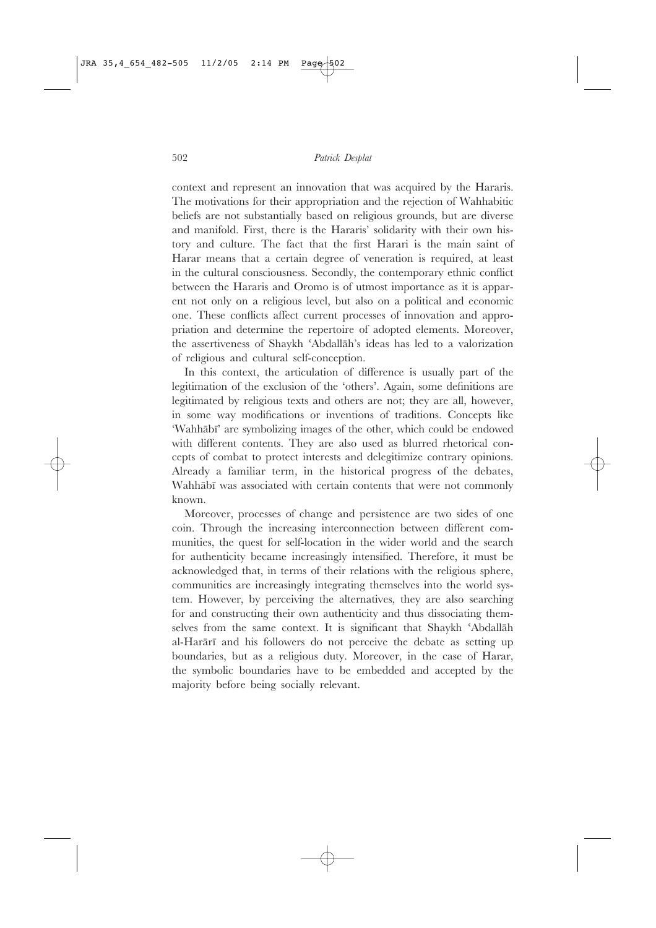context and represent an innovation that was acquired by the Hararis. The motivations for their appropriation and the rejection of Wahhabitic beliefs are not substantially based on religious grounds, but are diverse and manifold. First, there is the Hararis' solidarity with their own history and culture. The fact that the first Harari is the main saint of Harar means that a certain degree of veneration is required, at least in the cultural consciousness. Secondly, the contemporary ethnic conflict between the Hararis and Oromo is of utmost importance as it is apparent not only on a religious level, but also on a political and economic one. These conflicts affect current processes of innovation and appropriation and determine the repertoire of adopted elements. Moreover, the assertiveness of Shaykh 'Abdallah's ideas has led to a valorization of religious and cultural self-conception.

In this context, the articulation of difference is usually part of the legitimation of the exclusion of the 'others'. Again, some definitions are legitimated by religious texts and others are not; they are all, however, in some way modifications or inventions of traditions. Concepts like 'Wahhābī' are symbolizing images of the other, which could be endowed with different contents. They are also used as blurred rhetorical concepts of combat to protect interests and delegitimize contrary opinions. Already a familiar term, in the historical progress of the debates, Wahhabī was associated with certain contents that were not commonly known.

Moreover, processes of change and persistence are two sides of one coin. Through the increasing interconnection between different communities, the quest for self-location in the wider world and the search for authenticity became increasingly intensified. Therefore, it must be acknowledged that, in terms of their relations with the religious sphere, communities are increasingly integrating themselves into the world system. However, by perceiving the alternatives, they are also searching for and constructing their own authenticity and thus dissociating themselves from the same context. It is significant that Shaykh 'Abdallah al-Harārī and his followers do not perceive the debate as setting up boundaries, but as a religious duty. Moreover, in the case of Harar, the symbolic boundaries have to be embedded and accepted by the majority before being socially relevant.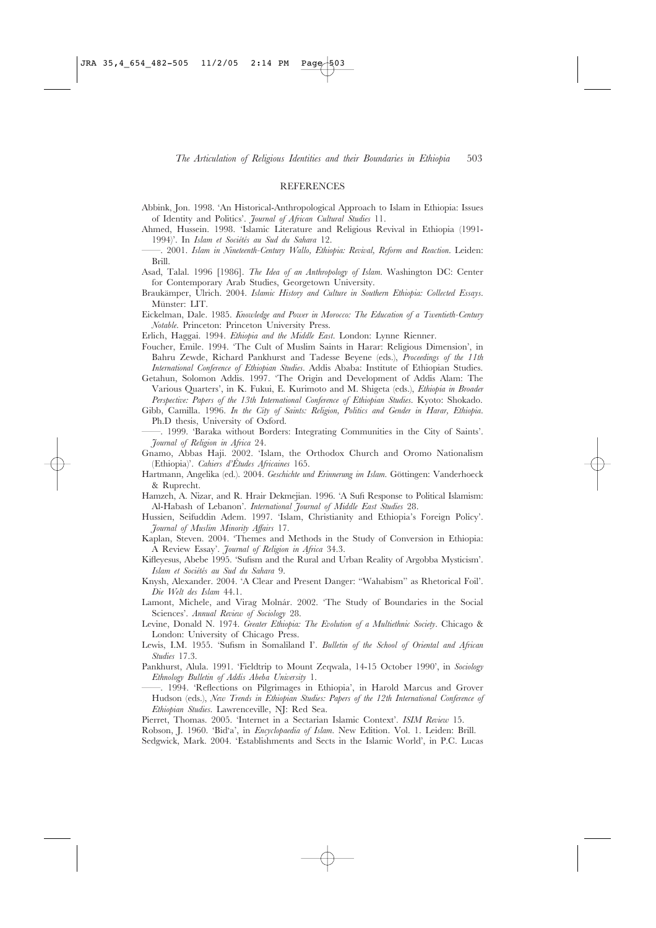#### **REFERENCES**

- Abbink, Jon. 1998. 'An Historical-Anthropological Approach to Islam in Ethiopia: Issues of Identity and Politics'. Journal of African Cultural Studies 11.
- Ahmed, Hussein, 1998. 'Islamic Literature and Religious Revival in Ethiopia (1991-1994)'. In Islam et Sociétés au Sud du Sahara 12.
	- -. 2001. Islam in Nineteenth-Century Wallo, Ethiopia: Revival, Reform and Reaction. Leiden: Brill.
- Asad, Talal. 1996 [1986]. The Idea of an Anthropology of Islam. Washington DC: Center for Contemporary Arab Studies, Georgetown University.
- Braukämper, Ulrich. 2004. Islamic History and Culture in Southern Ethiopia: Collected Essays. Münster: LIT.
- Eickelman, Dale. 1985. Knowledge and Power in Morocco: The Education of a Twentieth-Century Notable. Princeton: Princeton University Press.
- Erlich, Haggai. 1994. Ethiopia and the Middle East. London: Lynne Rienner.
- Foucher, Emile. 1994. 'The Cult of Muslim Saints in Harar: Religious Dimension', in Bahru Zewde, Richard Pankhurst and Tadesse Beyene (eds.), Proceedings of the 11th International Conference of Ethiopian Studies. Addis Ababa: Institute of Ethiopian Studies.
- Getahun, Solomon Addis. 1997. 'The Origin and Development of Addis Alam: The Various Quarters', in K. Fukui, E. Kurimoto and M. Shigeta (eds.), Ethiopia in Broader Perspective: Papers of the 13th International Conference of Ethiopian Studies. Kyoto: Shokado.
- Gibb, Camilla. 1996. In the City of Saints: Religion, Politics and Gender in Harar, Ethiopia. Ph.D thesis, University of Oxford.
- Tournal of Religion in Africa 24.
- Gnamo, Abbas Haji. 2002. 'Islam, the Orthodox Church and Oromo Nationalism (Ethiopia)'. Cahiers d'Études Africaines 165.
- Hartmann, Angelika (ed.), 2004. Geschichte und Erinnerung im Islam, Göttingen: Vanderhoeck & Ruprecht.
- Hamzeh, A. Nizar, and R. Hrair Dekmejian. 1996. 'A Sufi Response to Political Islamism: Al-Habash of Lebanon'. International Journal of Middle East Studies 28.
- Hussien, Seifuddin Adem. 1997. 'Islam, Christianity and Ethiopia's Foreign Policy'. Journal of Muslim Minority Affairs 17.
- Kaplan, Steven. 2004. 'Themes and Methods in the Study of Conversion in Ethiopia: A Review Essay'. Journal of Religion in Africa 34.3.
- Kifleyesus, Abebe 1995. 'Sufism and the Rural and Urban Reality of Argobba Mysticism'. Islam et Sociétés au Sud du Sahara 9.
- Knysh, Alexander, 2004. 'A Clear and Present Danger: "Wahabism" as Rhetorical Foil'. Die Welt des Islam 44.1.
- Lamont, Michele, and Virag Molnár. 2002. 'The Study of Boundaries in the Social Sciences', Annual Review of Sociology 28,
- Levine, Donald N. 1974. Greater Ethiopia: The Evolution of a Multiethnic Society. Chicago & London: University of Chicago Press.
- Lewis, I.M. 1955. 'Sufism in Somaliland I'. Bulletin of the School of Oriental and African Studies 17.3.
- Pankhurst, Alula. 1991. 'Fieldtrip to Mount Zeqwala, 14-15 October 1990', in Sociology Ethnology Bulletin of Addis Abeba University 1.

-. 1994. 'Reflections on Pilgrimages in Ethiopia', in Harold Marcus and Grover Hudson (eds.), New Trends in Ethiopian Studies: Papers of the 12th International Conference of Ethiopian Studies. Lawrenceville, NJ: Red Sea.

Pierret, Thomas. 2005. 'Internet in a Sectarian Islamic Context'. ISIM Review 15.

- Robson, J. 1960. 'Bid'a', in *Encyclopaedia of Islam*. New Edition. Vol. 1. Leiden: Brill.
- Sedgwick, Mark. 2004. 'Establishments and Sects in the Islamic World', in P.C. Lucas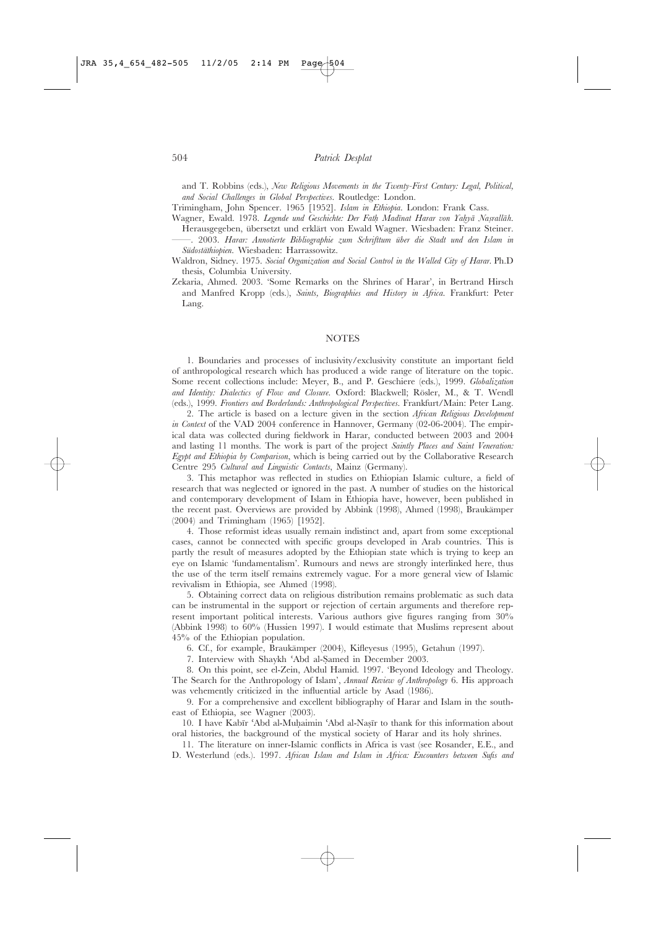and T. Robbins (eds.), New Religious Movements in the Twenty-First Century: Legal, Political, and Social Challenges in Global Perspectives. Routledge: London.

Trimingham, John Spencer. 1965 [1952]. Islam in Ethiopia. London: Frank Cass.

- Wagner, Ewald, 1978. Legende und Geschichte: Der Fath Madīnat Harar von Yahyā Nasrallāh. Herausgegeben, übersetzt und erklärt von Ewald Wagner. Wiesbaden: Franz Steiner.
- -. 2003. Harar: Annotierte Bibliographie zum Schrifttum über die Stadt und den Islam in Südostäthiopien. Wiesbaden: Harrassowitz.
- Waldron, Sidney. 1975. Social Organization and Social Control in the Walled City of Harar. Ph.D thesis, Columbia University.
- Zekaria, Ahmed. 2003. 'Some Remarks on the Shrines of Harar', in Bertrand Hirsch and Manfred Kropp (eds.), Saints, Biographies and History in Africa. Frankfurt: Peter Lang.

#### **NOTES**

1. Boundaries and processes of inclusivity/exclusivity constitute an important field of anthropological research which has produced a wide range of literature on the topic. Some recent collections include: Meyer, B., and P. Geschiere (eds.), 1999. Globalization and Identity: Dialectics of Flow and Closure. Oxford: Blackwell: Rösler, M., & T. Wendl (eds.), 1999. Frontiers and Borderlands: Anthropological Perspectives. Frankfurt/Main: Peter Lang.

2. The article is based on a lecture given in the section African Religious Development in Context of the VAD 2004 conference in Hannover, Germany (02-06-2004). The empirical data was collected during fieldwork in Harar, conducted between 2003 and 2004 and lasting 11 months. The work is part of the project Saintly Places and Saint Veneration: Event and Ethiopia by Comparison, which is being carried out by the Collaborative Research Centre 295 Cultural and Linguistic Contacts, Mainz (Germany).

3. This metaphor was reflected in studies on Ethiopian Islamic culture, a field of research that was neglected or ignored in the past. A number of studies on the historical and contemporary development of Islam in Ethiopia have, however, been published in the recent past. Overviews are provided by Abbink (1998), Ahmed (1998), Braukämper (2004) and Trimingham (1965) [1952].

4. Those reformist ideas usually remain indistinct and, apart from some exceptional cases, cannot be connected with specific groups developed in Arab countries. This is partly the result of measures adopted by the Ethiopian state which is trying to keep an eye on Islamic 'fundamentalism'. Rumours and news are strongly interlinked here, thus the use of the term itself remains extremely vague. For a more general view of Islamic revivalism in Ethiopia, see Ahmed (1998).

5. Obtaining correct data on religious distribution remains problematic as such data can be instrumental in the support or rejection of certain arguments and therefore represent important political interests. Various authors give figures ranging from 30% (Abbink 1998) to 60% (Hussien 1997). I would estimate that Muslims represent about  $45\%$  of the Ethiopian population.

6. Cf., for example, Braukämper (2004), Kifleyesus (1995), Getahun (1997).

7. Interview with Shaykh 'Abd al-Samed in December 2003.

8. On this point, see el-Zein, Abdul Hamid. 1997. 'Beyond Ideology and Theology. The Search for the Anthropology of Islam', Annual Review of Anthropology 6. His approach was vehemently criticized in the influential article by Asad (1986).

9. For a comprehensive and excellent bibliography of Harar and Islam in the southeast of Ethiopia, see Wagner (2003).

10. I have Kabīr 'Abd al-Muhaimin 'Abd al-Nasīr to thank for this information about oral histories, the background of the mystical society of Harar and its holy shrines.

11. The literature on inner-Islamic conflicts in Africa is vast (see Rosander, E.E., and D. Westerlund (eds.). 1997. African Islam and Islam in Africa: Encounters between Sufis and